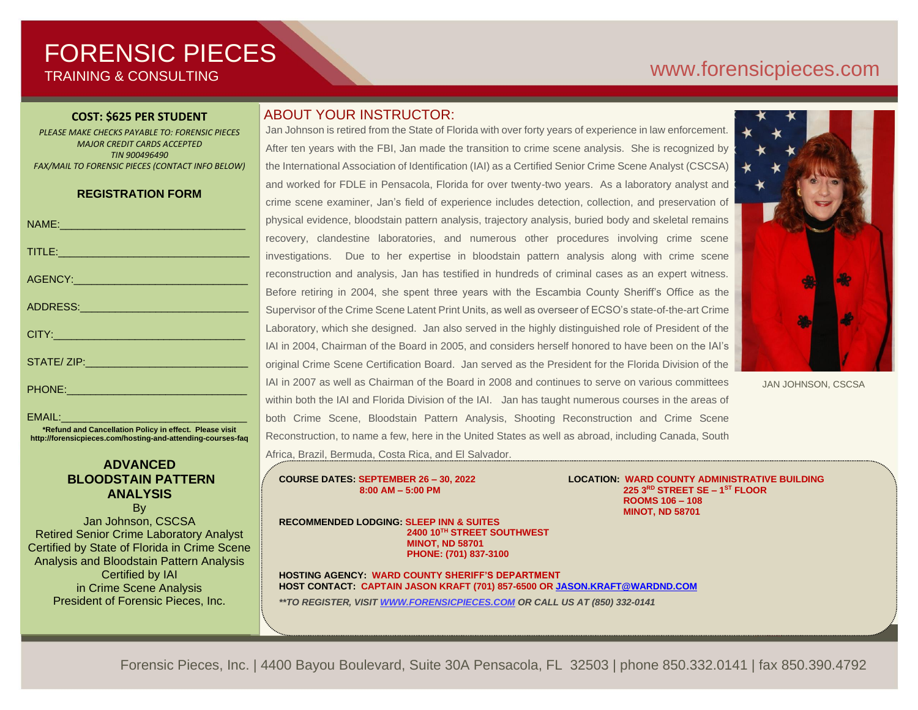# FORENSIC PIECES TRAINING & CONSULTING

# [www.forensicp](http://www.forensic/)ieces.com

#### **COST: \$625 PER STUDENT**

*PLEASE MAKE CHECKS PAYABLE TO: FORENSIC PIECES MAJOR CREDIT CARDS ACCEPTED TIN 900496490 FAX/MAIL TO FORENSIC PIECES (CONTACT INFO BELOW)*

#### **REGISTRATION FORM**

| NAME: 2008 - 2008 - 2009 - 2009 - 2010 - 2010 - 2011 - 2012 - 2014 - 2016 - 2017 - 2018 - 2019 - 201                                                                                                                           | р                 |
|--------------------------------------------------------------------------------------------------------------------------------------------------------------------------------------------------------------------------------|-------------------|
|                                                                                                                                                                                                                                | $\mathsf{r}$      |
| TITLE: Production and the contract of the contract of the contract of the contract of the contract of the contract of the contract of the contract of the contract of the contract of the contract of the contract of the cont | ÌI                |
|                                                                                                                                                                                                                                | r.                |
| ADDRESS:_____ <del>_________________________</del>                                                                                                                                                                             | E                 |
|                                                                                                                                                                                                                                | S                 |
|                                                                                                                                                                                                                                | L<br>l,           |
|                                                                                                                                                                                                                                | C                 |
|                                                                                                                                                                                                                                | $\mathbf{I}$<br>V |

EMAIL: **\*Refund and Cancellation Policy in effect. Please visit http://forensicpieces.com/hosting-and-attending-courses-faq**

#### **ADVANCED BLOODSTAIN PATTERN ANALYSIS**

By Jan Johnson, CSCSA Retired Senior Crime Laboratory Analyst Certified by State of Florida in Crime Scene Analysis and Bloodstain Pattern Analysis Certified by IAI in Crime Scene Analysis President of Forensic Pieces, Inc.

### ABOUT YOUR INSTRUCTOR:

Jan Johnson is retired from the State of Florida with over forty years of experience in law enforcement. After ten years with the FBI, Jan made the transition to crime scene analysis. She is recognized by the International Association of Identification (IAI) as a Certified Senior Crime Scene Analyst (CSCSA) and worked for FDLE in Pensacola, Florida for over twenty-two years. As a laboratory analyst and crime scene examiner, Jan's field of experience includes detection, collection, and preservation of physical evidence, bloodstain pattern analysis, trajectory analysis, buried body and skeletal remains recovery, clandestine laboratories, and numerous other procedures involving crime scene nvestigations. Due to her expertise in bloodstain pattern analysis along with crime scene reconstruction and analysis, Jan has testified in hundreds of criminal cases as an expert witness. Before retiring in 2004, she spent three years with the Escambia County Sheriff's Office as the Supervisor of the Crime Scene Latent Print Units, as well as overseer of ECSO's state-of-the-art Crime Laboratory, which she designed. Jan also served in the highly distinguished role of President of the IAI in 2004, Chairman of the Board in 2005, and considers herself honored to have been on the IAI's original Crime Scene Certification Board. Jan served as the President for the Florida Division of the AI in 2007 as well as Chairman of the Board in 2008 and continues to serve on various committees within both the IAI and Florida Division of the IAI. Jan has taught numerous courses in the areas of both Crime Scene, Bloodstain Pattern Analysis, Shooting Reconstruction and Crime Scene Reconstruction, to name a few, here in the United States as well as abroad, including Canada, South Africa, Brazil, Bermuda, Costa Rica, and El Salvador.



JAN JOHNSON, CSCSA

**COURSE DATES: SEPTEMBER 26 – 30, 2022 LOCATION: WARD COUNTY ADMINISTRATIVE BUILDING 8:00 AM – 5:00 PM 225 3RD STREET SE – 1 ST FLOOR ROOMS 106 – 108 MINOT, ND 58701**

**RECOMMENDED LODGING: SLEEP INN & SUITES 2400 10 TH STREET SOUTHWEST MINOT, ND 58701 PHONE: (701) 837-3100** 

**HOSTING AGENCY: WARD COUNTY SHERIFF'S DEPARTMENT HOST CONTACT: CAPTAIN JASON KRAFT (701) 857-6500 O[R JASON.KRAFT@WARDND.COM](mailto:JASON.KRAFT@WARDND.COM)**

*\*\*TO REGISTER, VISIT [WWW.FORENSICPIECES.COM](http://www.forensicpieces.com/) OR CALL US AT (850) 332-0141*

Forensic Pieces, Inc. | 4400 Bayou Boulevard, Suite 30A Pensacola, FL 32503 | phone 850.332.0141 | fax 850.390.4792